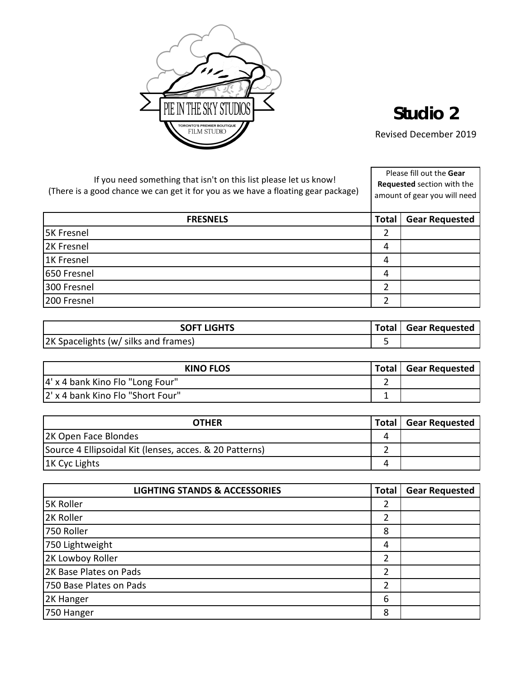

## **Studio 2**

Revised December 2019

| <b>FRESNELS</b><br><b>Total</b>      |              |                       |
|--------------------------------------|--------------|-----------------------|
|                                      |              | <b>Gear Requested</b> |
| <b>5K Fresnel</b>                    | 2            |                       |
| 2K Fresnel                           | 4            |                       |
| 1K Fresnel                           | 4            |                       |
| 650 Fresnel                          | 4            |                       |
| 300 Fresnel                          | 2            |                       |
| 200 Fresnel                          | 2            |                       |
|                                      |              |                       |
| <b>SOFT LIGHTS</b>                   | <b>Total</b> | <b>Gear Requested</b> |
| 2K Spacelights (w/ silks and frames) | 5            |                       |
|                                      |              |                       |
| <b>KINO FLOS</b>                     | <b>Total</b> | <b>Gear Requested</b> |
| 4' x 4 bank Kino Flo "Long Four"     | 2            |                       |
| 2' x 4 bank Kino Flo "Short Four"    | 1            |                       |

| <b>OTHER</b>                                            | <b>Total</b> | <b>Gear Requested</b> |
|---------------------------------------------------------|--------------|-----------------------|
| 2K Open Face Blondes                                    |              |                       |
| Source 4 Ellipsoidal Kit (lenses, acces. & 20 Patterns) |              |                       |
| 1K Cyc Lights                                           | 4            |                       |

| <b>LIGHTING STANDS &amp; ACCESSORIES</b> | <b>Total</b> | <b>Gear Requested</b> |
|------------------------------------------|--------------|-----------------------|
| <b>5K Roller</b>                         | 2            |                       |
| 2K Roller                                | 2            |                       |
| 750 Roller                               | 8            |                       |
| 750 Lightweight                          | 4            |                       |
| 2K Lowboy Roller                         | っ            |                       |
| 2K Base Plates on Pads                   | າ            |                       |
| 750 Base Plates on Pads                  | 2            |                       |
| 2K Hanger                                | 6            |                       |
| 750 Hanger                               | 8            |                       |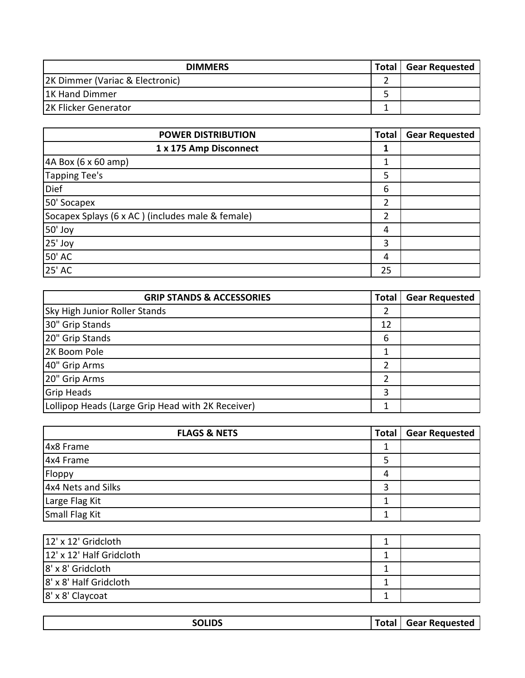| <b>DIMMERS</b>                  | <b>Total</b> | <b>Gear Requested</b> |
|---------------------------------|--------------|-----------------------|
| 2K Dimmer (Variac & Electronic) |              |                       |
| 1K Hand Dimmer                  |              |                       |
| <b>2K Flicker Generator</b>     |              |                       |

| <b>POWER DISTRIBUTION</b>                        | <b>Total</b> | <b>Gear Requested</b> |
|--------------------------------------------------|--------------|-----------------------|
| 1 x 175 Amp Disconnect                           |              |                       |
| 4A Box (6 x 60 amp)                              |              |                       |
| Tapping Tee's                                    | 5            |                       |
| <b>Dief</b>                                      | 6            |                       |
| 50' Socapex                                      | 2            |                       |
| Socapex Splays (6 x AC) (includes male & female) | 2            |                       |
| 50' Joy                                          | 4            |                       |
| 25' Joy                                          | 3            |                       |
| 50' AC                                           | 4            |                       |
| 25' AC                                           | 25           |                       |

| <b>GRIP STANDS &amp; ACCESSORIES</b>              | <b>Total</b> | <b>Gear Requested</b> |
|---------------------------------------------------|--------------|-----------------------|
| Sky High Junior Roller Stands                     |              |                       |
| 30" Grip Stands                                   | 12           |                       |
| 20" Grip Stands                                   | 6            |                       |
| 2K Boom Pole                                      |              |                       |
| 40" Grip Arms                                     |              |                       |
| 20" Grip Arms                                     |              |                       |
| <b>Grip Heads</b>                                 | 3            |                       |
| Lollipop Heads (Large Grip Head with 2K Receiver) |              |                       |

| <b>FLAGS &amp; NETS</b> | Total | <b>Gear Requested</b> |
|-------------------------|-------|-----------------------|
| 4x8 Frame               |       |                       |
| 4x4 Frame               |       |                       |
| Floppy                  | 4     |                       |
| 4x4 Nets and Silks      |       |                       |
| Large Flag Kit          |       |                       |
| Small Flag Kit          |       |                       |

| 12' x 12' Gridcloth      |  |
|--------------------------|--|
| 12' x 12' Half Gridcloth |  |
| 8' x 8' Gridcloth        |  |
| 8' x 8' Half Gridcloth   |  |
| 8' x 8' Claycoat         |  |

|--|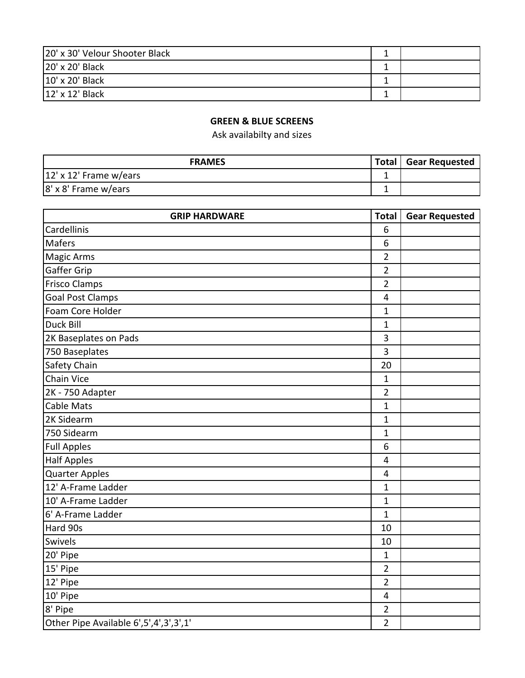| 20' x 30' Velour Shooter Black |  |
|--------------------------------|--|
| 20' x 20' Black                |  |
| 10' x 20' Black                |  |
| 12' x 12' Black                |  |

## **GREEN & BLUE SCREENS**

Ask availabilty and sizes

| <b>FRAMES</b>          | Total | <b>Gear Requested</b> |
|------------------------|-------|-----------------------|
| 12' x 12' Frame w/ears |       |                       |
| 8' x 8' Frame w/ears   |       |                       |

| <b>GRIP HARDWARE</b>                        | Total          | <b>Gear Requested</b> |
|---------------------------------------------|----------------|-----------------------|
| Cardellinis                                 | 6              |                       |
| <b>Mafers</b>                               | 6              |                       |
| <b>Magic Arms</b>                           | $\overline{2}$ |                       |
| Gaffer Grip                                 | $\overline{2}$ |                       |
| <b>Frisco Clamps</b>                        | $\overline{2}$ |                       |
| <b>Goal Post Clamps</b>                     | 4              |                       |
| Foam Core Holder                            | $\mathbf{1}$   |                       |
| Duck Bill                                   | $\mathbf 1$    |                       |
| 2K Baseplates on Pads                       | 3              |                       |
| 750 Baseplates                              | 3              |                       |
| Safety Chain                                | 20             |                       |
| <b>Chain Vice</b>                           | $\mathbf{1}$   |                       |
| 2K - 750 Adapter                            | $\overline{2}$ |                       |
| Cable Mats                                  | $\mathbf{1}$   |                       |
| 2K Sidearm                                  | $\mathbf{1}$   |                       |
| 750 Sidearm                                 | $\mathbf{1}$   |                       |
| <b>Full Apples</b>                          | 6              |                       |
| <b>Half Apples</b>                          | 4              |                       |
| <b>Quarter Apples</b>                       | 4              |                       |
| 12' A-Frame Ladder                          | $\mathbf{1}$   |                       |
| 10' A-Frame Ladder                          | $\mathbf{1}$   |                       |
| 6' A-Frame Ladder                           | $\mathbf{1}$   |                       |
| Hard 90s                                    | 10             |                       |
| Swivels                                     | 10             |                       |
| 20' Pipe                                    | $\mathbf{1}$   |                       |
| 15' Pipe                                    | $\overline{2}$ |                       |
| 12' Pipe                                    | $\overline{2}$ |                       |
| 10' Pipe                                    | 4              |                       |
| 8' Pipe                                     | $\overline{2}$ |                       |
| Other Pipe Available 6', 5', 4', 3', 3', 1' | $\overline{2}$ |                       |